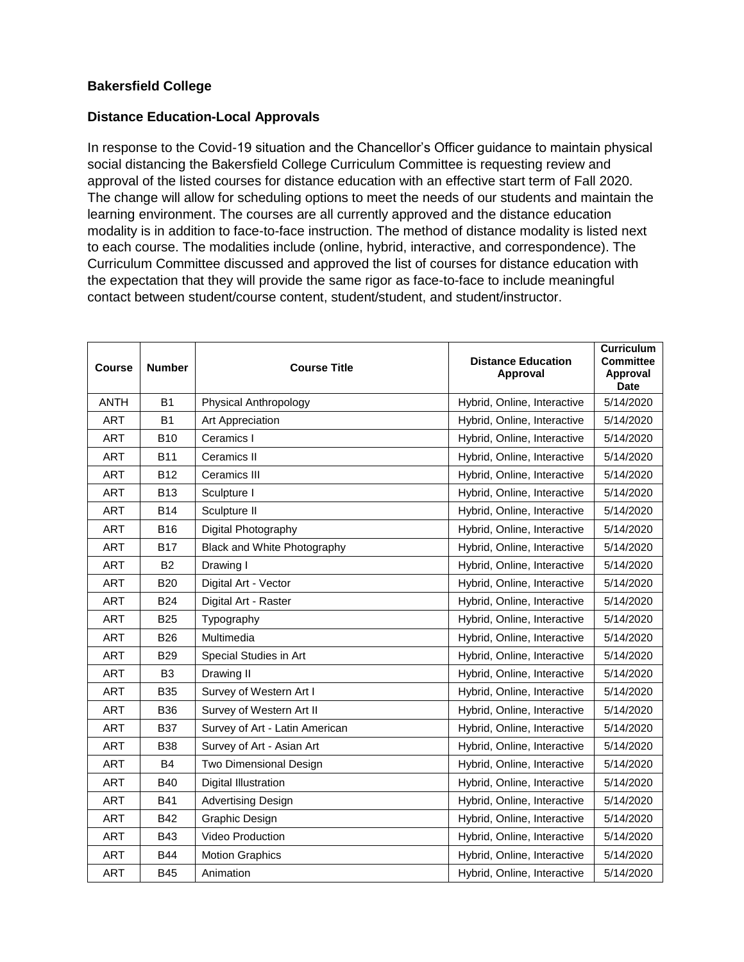## **Bakersfield College**

## **Distance Education-Local Approvals**

In response to the Covid-19 situation and the Chancellor's Officer guidance to maintain physical social distancing the Bakersfield College Curriculum Committee is requesting review and approval of the listed courses for distance education with an effective start term of Fall 2020. The change will allow for scheduling options to meet the needs of our students and maintain the learning environment. The courses are all currently approved and the distance education modality is in addition to face-to-face instruction. The method of distance modality is listed next to each course. The modalities include (online, hybrid, interactive, and correspondence). The Curriculum Committee discussed and approved the list of courses for distance education with the expectation that they will provide the same rigor as face-to-face to include meaningful contact between student/course content, student/student, and student/instructor.

| <b>Course</b> | <b>Number</b>  | <b>Course Title</b>            | <b>Distance Education</b><br><b>Approval</b> | <b>Curriculum</b><br><b>Committee</b><br>Approval<br><b>Date</b> |
|---------------|----------------|--------------------------------|----------------------------------------------|------------------------------------------------------------------|
| <b>ANTH</b>   | <b>B1</b>      | Physical Anthropology          | Hybrid, Online, Interactive                  | 5/14/2020                                                        |
| <b>ART</b>    | <b>B1</b>      | Art Appreciation               | Hybrid, Online, Interactive                  | 5/14/2020                                                        |
| <b>ART</b>    | <b>B10</b>     | Ceramics I                     | Hybrid, Online, Interactive                  | 5/14/2020                                                        |
| ART           | <b>B11</b>     | Ceramics II                    | Hybrid, Online, Interactive                  | 5/14/2020                                                        |
| <b>ART</b>    | <b>B12</b>     | Ceramics III                   | Hybrid, Online, Interactive                  | 5/14/2020                                                        |
| <b>ART</b>    | <b>B13</b>     | Sculpture I                    | Hybrid, Online, Interactive                  | 5/14/2020                                                        |
| <b>ART</b>    | <b>B14</b>     | Sculpture II                   | Hybrid, Online, Interactive                  | 5/14/2020                                                        |
| ART           | <b>B16</b>     | Digital Photography            | Hybrid, Online, Interactive                  | 5/14/2020                                                        |
| <b>ART</b>    | <b>B17</b>     | Black and White Photography    | Hybrid, Online, Interactive                  | 5/14/2020                                                        |
| <b>ART</b>    | <b>B2</b>      | Drawing I                      | Hybrid, Online, Interactive                  | 5/14/2020                                                        |
| ART           | <b>B20</b>     | Digital Art - Vector           | Hybrid, Online, Interactive                  | 5/14/2020                                                        |
| <b>ART</b>    | <b>B24</b>     | Digital Art - Raster           | Hybrid, Online, Interactive                  | 5/14/2020                                                        |
| <b>ART</b>    | <b>B25</b>     | Typography                     | Hybrid, Online, Interactive                  | 5/14/2020                                                        |
| <b>ART</b>    | <b>B26</b>     | Multimedia                     | Hybrid, Online, Interactive                  | 5/14/2020                                                        |
| <b>ART</b>    | <b>B29</b>     | Special Studies in Art         | Hybrid, Online, Interactive                  | 5/14/2020                                                        |
| <b>ART</b>    | B <sub>3</sub> | Drawing II                     | Hybrid, Online, Interactive                  | 5/14/2020                                                        |
| <b>ART</b>    | <b>B35</b>     | Survey of Western Art I        | Hybrid, Online, Interactive                  | 5/14/2020                                                        |
| ART           | <b>B36</b>     | Survey of Western Art II       | Hybrid, Online, Interactive                  | 5/14/2020                                                        |
| <b>ART</b>    | <b>B37</b>     | Survey of Art - Latin American | Hybrid, Online, Interactive                  | 5/14/2020                                                        |
| ART           | <b>B38</b>     | Survey of Art - Asian Art      | Hybrid, Online, Interactive                  | 5/14/2020                                                        |
| <b>ART</b>    | <b>B4</b>      | Two Dimensional Design         | Hybrid, Online, Interactive                  | 5/14/2020                                                        |
| ART           | <b>B40</b>     | Digital Illustration           | Hybrid, Online, Interactive                  | 5/14/2020                                                        |
| <b>ART</b>    | <b>B41</b>     | <b>Advertising Design</b>      | Hybrid, Online, Interactive                  | 5/14/2020                                                        |
| <b>ART</b>    | <b>B42</b>     | Graphic Design                 | Hybrid, Online, Interactive                  | 5/14/2020                                                        |
| <b>ART</b>    | <b>B43</b>     | Video Production               | Hybrid, Online, Interactive                  | 5/14/2020                                                        |
| <b>ART</b>    | <b>B44</b>     | <b>Motion Graphics</b>         | Hybrid, Online, Interactive                  | 5/14/2020                                                        |
| <b>ART</b>    | B45            | Animation                      | Hybrid, Online, Interactive                  | 5/14/2020                                                        |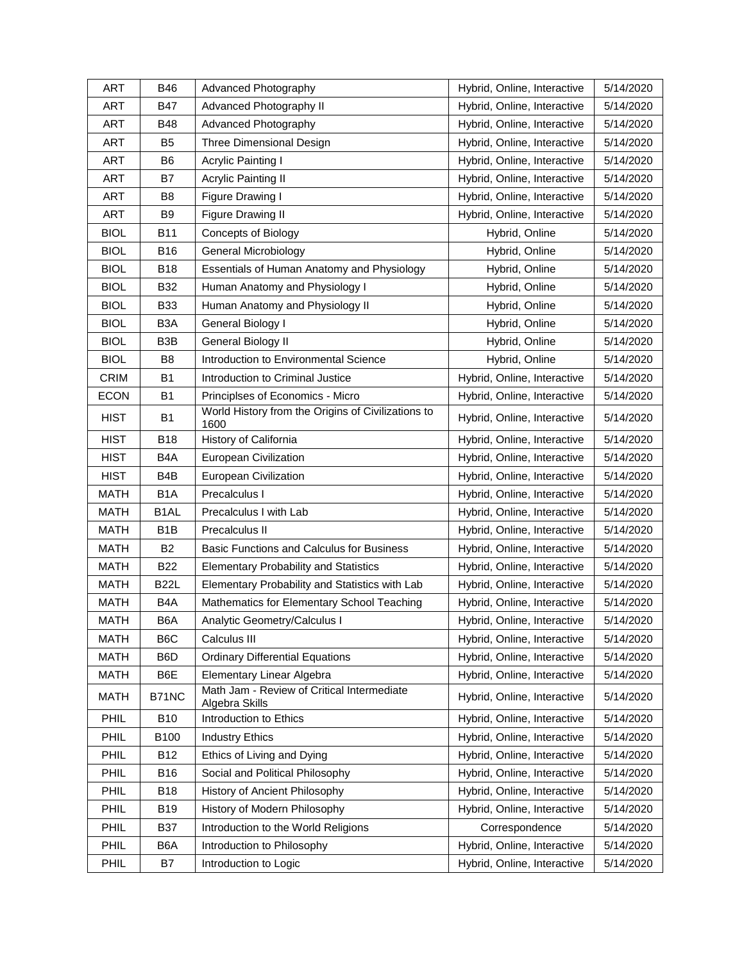| <b>ART</b>  | <b>B46</b>        | Advanced Photography                                         | Hybrid, Online, Interactive | 5/14/2020 |
|-------------|-------------------|--------------------------------------------------------------|-----------------------------|-----------|
| <b>ART</b>  | B47               | Advanced Photography II                                      | Hybrid, Online, Interactive | 5/14/2020 |
| <b>ART</b>  | <b>B48</b>        | Advanced Photography                                         | Hybrid, Online, Interactive | 5/14/2020 |
| <b>ART</b>  | B <sub>5</sub>    | Three Dimensional Design                                     | Hybrid, Online, Interactive | 5/14/2020 |
| <b>ART</b>  | B <sub>6</sub>    | Acrylic Painting I                                           | Hybrid, Online, Interactive | 5/14/2020 |
| <b>ART</b>  | B7                | <b>Acrylic Painting II</b>                                   | Hybrid, Online, Interactive | 5/14/2020 |
| <b>ART</b>  | B8                | Figure Drawing I                                             | Hybrid, Online, Interactive | 5/14/2020 |
| <b>ART</b>  | B <sub>9</sub>    | Figure Drawing II                                            | Hybrid, Online, Interactive | 5/14/2020 |
| <b>BIOL</b> | <b>B11</b>        | Concepts of Biology                                          | Hybrid, Online              | 5/14/2020 |
| <b>BIOL</b> | <b>B16</b>        | General Microbiology                                         | Hybrid, Online              | 5/14/2020 |
| <b>BIOL</b> | <b>B18</b>        | Essentials of Human Anatomy and Physiology                   | Hybrid, Online              | 5/14/2020 |
| <b>BIOL</b> | <b>B32</b>        | Human Anatomy and Physiology I                               | Hybrid, Online              | 5/14/2020 |
| <b>BIOL</b> | <b>B33</b>        | Human Anatomy and Physiology II                              | Hybrid, Online              | 5/14/2020 |
| <b>BIOL</b> | B <sub>3</sub> A  | General Biology I                                            | Hybrid, Online              | 5/14/2020 |
| <b>BIOL</b> | B <sub>3</sub> B  | General Biology II                                           | Hybrid, Online              | 5/14/2020 |
| <b>BIOL</b> | B <sub>8</sub>    | Introduction to Environmental Science                        | Hybrid, Online              | 5/14/2020 |
| <b>CRIM</b> | <b>B1</b>         | Introduction to Criminal Justice                             | Hybrid, Online, Interactive | 5/14/2020 |
| <b>ECON</b> | B <sub>1</sub>    | Principlses of Economics - Micro                             | Hybrid, Online, Interactive | 5/14/2020 |
| <b>HIST</b> | <b>B1</b>         | World History from the Origins of Civilizations to<br>1600   | Hybrid, Online, Interactive | 5/14/2020 |
| <b>HIST</b> | <b>B18</b>        | History of California                                        | Hybrid, Online, Interactive | 5/14/2020 |
| <b>HIST</b> | B <sub>4</sub> A  | European Civilization                                        | Hybrid, Online, Interactive | 5/14/2020 |
| <b>HIST</b> | B4B               | European Civilization                                        | Hybrid, Online, Interactive | 5/14/2020 |
| <b>MATH</b> | B <sub>1</sub> A  | Precalculus I                                                | Hybrid, Online, Interactive | 5/14/2020 |
| <b>MATH</b> | B <sub>1</sub> AL | Precalculus I with Lab                                       | Hybrid, Online, Interactive | 5/14/2020 |
| <b>MATH</b> | B <sub>1</sub> B  | Precalculus II                                               | Hybrid, Online, Interactive | 5/14/2020 |
| <b>MATH</b> | B <sub>2</sub>    | Basic Functions and Calculus for Business                    | Hybrid, Online, Interactive | 5/14/2020 |
| <b>MATH</b> | <b>B22</b>        | <b>Elementary Probability and Statistics</b>                 | Hybrid, Online, Interactive | 5/14/2020 |
| <b>MATH</b> | <b>B22L</b>       | Elementary Probability and Statistics with Lab               | Hybrid, Online, Interactive | 5/14/2020 |
| <b>MATH</b> | B4A               | Mathematics for Elementary School Teaching                   | Hybrid, Online, Interactive | 5/14/2020 |
| <b>MATH</b> | B <sub>6</sub> A  | Analytic Geometry/Calculus I                                 | Hybrid, Online, Interactive | 5/14/2020 |
| <b>MATH</b> | B6C               | Calculus III                                                 | Hybrid, Online, Interactive | 5/14/2020 |
| <b>MATH</b> | B6D               | <b>Ordinary Differential Equations</b>                       | Hybrid, Online, Interactive | 5/14/2020 |
| <b>MATH</b> | B6E               | Elementary Linear Algebra                                    | Hybrid, Online, Interactive | 5/14/2020 |
| <b>MATH</b> | B71NC             | Math Jam - Review of Critical Intermediate<br>Algebra Skills | Hybrid, Online, Interactive | 5/14/2020 |
| PHIL        | <b>B10</b>        | Introduction to Ethics                                       | Hybrid, Online, Interactive | 5/14/2020 |
| PHIL        | B100              | <b>Industry Ethics</b>                                       | Hybrid, Online, Interactive | 5/14/2020 |
| PHIL        | <b>B12</b>        | Ethics of Living and Dying                                   | Hybrid, Online, Interactive | 5/14/2020 |
| PHIL        | <b>B16</b>        | Social and Political Philosophy                              | Hybrid, Online, Interactive | 5/14/2020 |
| PHIL        | <b>B18</b>        | History of Ancient Philosophy                                | Hybrid, Online, Interactive | 5/14/2020 |
| PHIL        | <b>B19</b>        | History of Modern Philosophy                                 | Hybrid, Online, Interactive | 5/14/2020 |
| PHIL        | <b>B37</b>        | Introduction to the World Religions                          | Correspondence              | 5/14/2020 |
| PHIL        | B <sub>6</sub> A  | Introduction to Philosophy                                   | Hybrid, Online, Interactive | 5/14/2020 |
| PHIL        | B7                | Introduction to Logic                                        | Hybrid, Online, Interactive | 5/14/2020 |